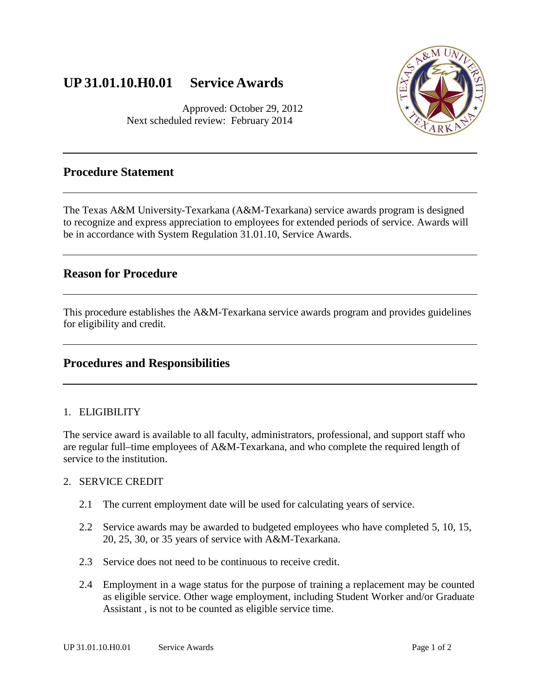# **UP 31.01.10.H0.01 Service Awards**

Approved: October 29, 2012 Next scheduled review: February 2014



### **Procedure Statement**

The Texas A&M University-Texarkana (A&M-Texarkana) service awards program is designed to recognize and express appreciation to employees for extended periods of service. Awards will be in accordance with System Regulation 31.01.10, Service Awards.

### **Reason for Procedure**

This procedure establishes the A&M-Texarkana service awards program and provides guidelines for eligibility and credit.

### **Procedures and Responsibilities**

#### 1. ELIGIBILITY

The service award is available to all faculty, administrators, professional, and support staff who are regular full–time employees of A&M-Texarkana, and who complete the required length of service to the institution.

#### 2. SERVICE CREDIT

- 2.1 The current employment date will be used for calculating years of service.
- 2.2 Service awards may be awarded to budgeted employees who have completed 5, 10, 15, 20, 25, 30, or 35 years of service with A&M-Texarkana.
- 2.3 Service does not need to be continuous to receive credit.
- 2.4 Employment in a wage status for the purpose of training a replacement may be counted as eligible service. Other wage employment, including Student Worker and/or Graduate Assistant , is not to be counted as eligible service time.